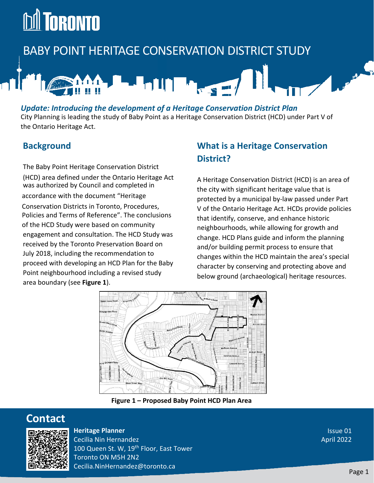# **DA TORONTO**

# BABY POINT HERITAGE CONSERVATION DISTRICT STUDY

# 

#### *Update: Introducing the development of a Heritage Conservation District Plan*

City Planning is leading the study of Baby Point as a Heritage Conservation District (HCD) under Part V of the Ontario Heritage Act.

#### **Background**

The Baby Point Heritage Conservation District (HCD) area defined under the Ontario Heritage Act was authorized by Council and completed in accordance with the document "Heritage Conservation Districts in Toronto, Procedures, Policies and Terms of Reference". The conclusions of the HCD Study were based on community engagement and consultation. The HCD Study was received by the Toronto Preservation Board on July 2018, including the recommendation to proceed with developing an HCD Plan for the Baby Point neighbourhood including a revised study area boundary (see **Figure 1**).

### **What is a Heritage Conservation District?**

A Heritage Conservation District (HCD) is an area of the city with significant heritage value that is protected by a municipal by-law passed under Part V of the Ontario Heritage Act. HCDs provide policies that identify, conserve, and enhance historic neighbourhoods, while allowing for growth and change. HCD Plans guide and inform the planning and/or building permit process to ensure that changes within the HCD maintain the area's special character by conserving and protecting above and below ground (archaeological) heritage resources.



**Figure 1 – Proposed Baby Point HCD Plan Area**

# **Contact**



**Heritage Planner**

Cecilia Nin Hernandez 100 Queen St. W, 19<sup>th</sup> Floor, East Tower Toronto ON M5H 2N2 Cecilia.NinHernandez@toronto.ca

Issue 01 April 2022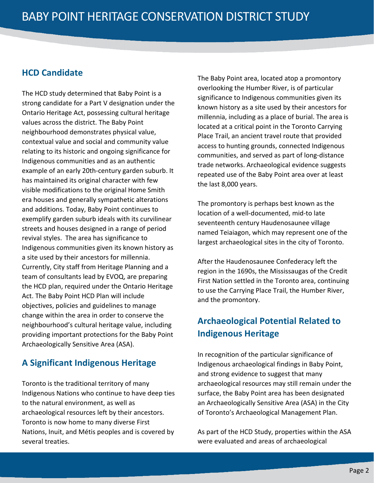#### **HCD Candidate**

The HCD study determined that Baby Point is a strong candidate for a Part V designation under the Ontario Heritage Act, possessing cultural heritage values across the district. The Baby Point neighbourhood demonstrates physical value, contextual value and social and community value relating to its historic and ongoing significance for Indigenous communities and as an authentic example of an early 20th-century garden suburb. It has maintained its original character with few visible modifications to the original Home Smith era houses and generally sympathetic alterations and additions. Today, Baby Point continues to exemplify garden suburb ideals with its curvilinear streets and houses designed in a range of period revival styles. The area has significance to Indigenous communities given its known history as a site used by their ancestors for millennia. Currently, City staff from Heritage Planning and a team of consultants lead by EVOQ, are preparing the HCD plan, required under the Ontario Heritage Act. The Baby Point HCD Plan will include objectives, policies and guidelines to manage change within the area in order to conserve the neighbourhood's cultural heritage value, including providing important protections for the Baby Point Archaeologically Sensitive Area (ASA).

#### **A Significant Indigenous Heritage**

Toronto is the traditional territory of many Indigenous Nations who continue to have deep ties to the natural environment, as well as archaeological resources left by their ancestors. Toronto is now home to many diverse First Nations, Inuit, and Métis peoples and is covered by several treaties.

The Baby Point area, located atop a promontory overlooking the Humber River, is of particular significance to Indigenous communities given its known history as a site used by their ancestors for millennia, including as a place of burial. The area is located at a critical point in the Toronto Carrying Place Trail, an ancient travel route that provided access to hunting grounds, connected Indigenous communities, and served as part of long-distance trade networks. Archaeological evidence suggests repeated use of the Baby Point area over at least the last 8,000 years.

The promontory is perhaps best known as the location of a well-documented, mid-to late seventeenth century Haudenosaunee village named Teiaiagon, which may represent one of the largest archaeological sites in the city of Toronto.

After the Haudenosaunee Confederacy left the region in the 1690s, the Mississaugas of the Credit First Nation settled in the Toronto area, continuing to use the Carrying Place Trail, the Humber River, and the promontory.

### **Archaeological Potential Related to Indigenous Heritage**

In recognition of the particular significance of Indigenous archaeological findings in Baby Point, and strong evidence to suggest that many archaeological resources may still remain under the surface, the Baby Point area has been designated an Archaeologically Sensitive Area (ASA) in the City of Toronto's Archaeological Management Plan.

As part of the HCD Study, properties within the ASA were evaluated and areas of archaeological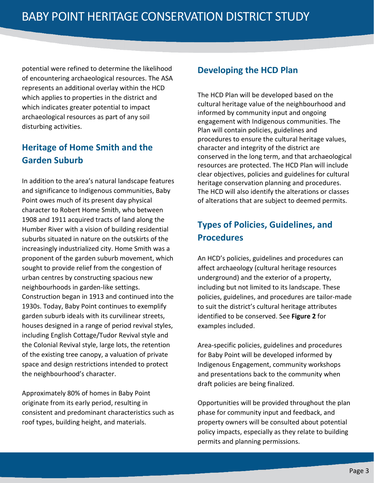potential were refined to determine the likelihood of encountering archaeological resources. The ASA represents an additional overlay within the HCD which applies to properties in the district and which indicates greater potential to impact archaeological resources as part of any soil disturbing activities.

## **Heritage of Home Smith and the Garden Suburb**

In addition to the area's natural landscape features and significance to Indigenous communities, Baby Point owes much of its present day physical character to Robert Home Smith, who between 1908 and 1911 acquired tracts of land along the Humber River with a vision of building residential suburbs situated in nature on the outskirts of the increasingly industrialized city. Home Smith was a proponent of the garden suburb movement, which sought to provide relief from the congestion of urban centres by constructing spacious new neighbourhoods in garden-like settings. Construction began in 1913 and continued into the 1930s. Today, Baby Point continues to exemplify garden suburb ideals with its curvilinear streets, houses designed in a range of period revival styles, including English Cottage/Tudor Revival style and the Colonial Revival style, large lots, the retention of the existing tree canopy, a valuation of private space and design restrictions intended to protect the neighbourhood's character.

Approximately 80% of homes in Baby Point originate from its early period, resulting in consistent and predominant characteristics such as roof types, building height, and materials.

#### **Developing the HCD Plan**

The HCD Plan will be developed based on the cultural heritage value of the neighbourhood and informed by community input and ongoing engagement with Indigenous communities. The Plan will contain policies, guidelines and procedures to ensure the cultural heritage values, character and integrity of the district are conserved in the long term, and that archaeological resources are protected. The HCD Plan will include clear objectives, policies and guidelines for cultural heritage conservation planning and procedures. The HCD will also identify the alterations or classes of alterations that are subject to deemed permits.

# **Types of Policies, Guidelines, and Procedures**

An HCD's policies, guidelines and procedures can affect archaeology (cultural heritage resources underground) and the exterior of a property, including but not limited to its landscape. These policies, guidelines, and procedures are tailor-made to suit the district's cultural heritage attributes identified to be conserved. See **Figure 2** for examples included.

Area-specific policies, guidelines and procedures for Baby Point will be developed informed by Indigenous Engagement, community workshops and presentations back to the community when draft policies are being finalized.

Opportunities will be provided throughout the plan phase for community input and feedback, and property owners will be consulted about potential policy impacts, especially as they relate to building permits and planning permissions.